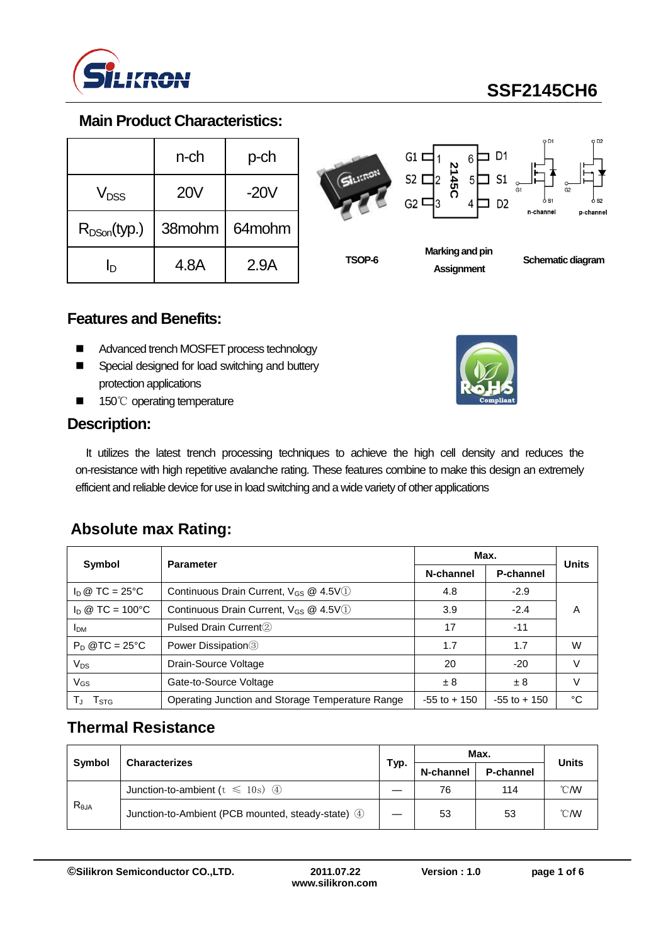

# **SSF2145CH6**

#### **Main Product Characteristics:**

|                  | n-ch       | p-ch   |
|------------------|------------|--------|
| V <sub>DSS</sub> | <b>20V</b> | $-20V$ |
| $R_{DSon}(typ.)$ | 38mohm     | 64mohm |
| ln               | 4.8A       | 2.9A   |



**TSOP-6**

# **Marking and pin Assignment**

**2145C**

12

6

 $\n **D1**\n$ 

D<sub>2</sub>

 $5\Box$  S1

 $G1$  I

 $S2$   $\Gamma$ 

 $G2$  C

**Schematic diagram** 

#### **Features and Benefits:**

- Advanced trench MOSFET process technology
- Special designed for load switching and buttery protection applications
- 150℃ operating temperature

#### **Description:**

It utilizes the latest trench processing techniques to achieve the high cell density and reduces the on-resistance with high repetitive avalanche rating. These features combine to make this design an extremely efficient and reliable device for use in load switching and a wide variety of other applications

#### **Absolute max Rating:**

|                                | <b>Parameter</b>                                  | Max.            |                 |              |
|--------------------------------|---------------------------------------------------|-----------------|-----------------|--------------|
| Symbol                         |                                                   | N-channel       | P-channel       | <b>Units</b> |
| $I_D \otimes TC = 25^{\circ}C$ | Continuous Drain Current, $V_{GS}$ @ 4.5V(1)      | 4.8             | $-2.9$          |              |
| $\ln \omega$ TC = 100°C        | Continuous Drain Current, V <sub>GS</sub> @ 4.5V1 | 3.9             | $-2.4$          | Α            |
| <b>IDM</b>                     | Pulsed Drain Current <sup>(2)</sup>               | 17              | $-11$           |              |
| $P_D$ @TC = 25°C               | Power Dissipation <sup>3</sup>                    | 1.7             | 1.7             | W            |
| $V_{DS}$                       | Drain-Source Voltage                              | 20              | $-20$           | V            |
| $V_{GS}$                       | Gate-to-Source Voltage                            | $\pm$ 8         | ±8              | $\vee$       |
| I STG                          | Operating Junction and Storage Temperature Range  | $-55$ to $+150$ | $-55$ to $+150$ | °C           |

## **Thermal Resistance**

| Symbol         | <b>Characterizes</b>                              |  | Max.      |           | Units          |
|----------------|---------------------------------------------------|--|-----------|-----------|----------------|
|                |                                                   |  | N-channel | P-channel |                |
| $R_{\theta$ JA | Junction-to-ambient ( $t \le 10$ s) 4             |  | 76        | 114       | $^{\circ}$ CMV |
|                | Junction-to-Ambient (PCB mounted, steady-state) 4 |  | 53        | 53        | $^{\circ}$ CMV |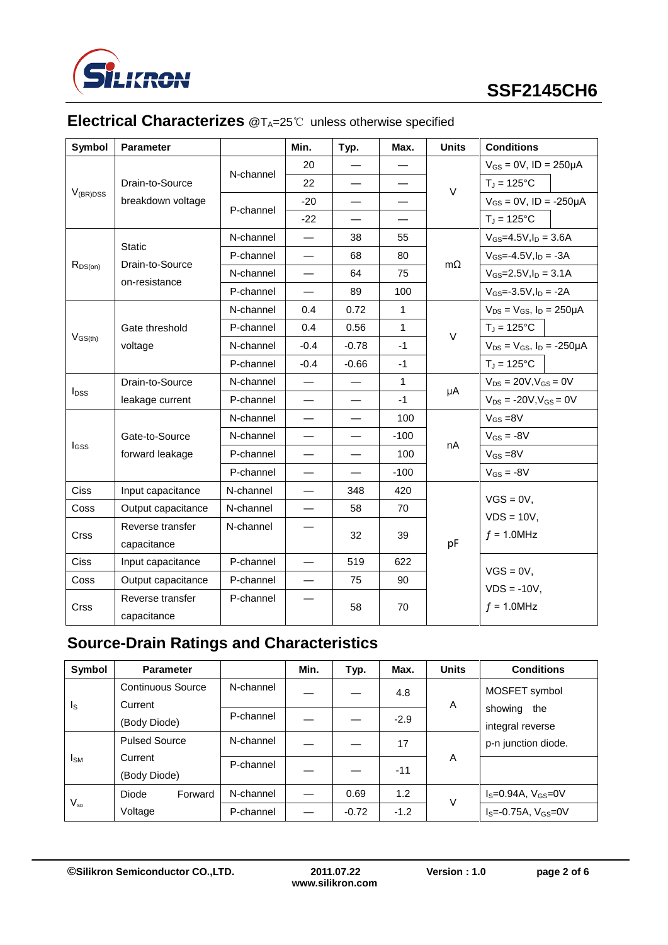

#### **Symbol Parameter Min. Typ. Max. Units Conditions** V(BR)DSS Drain-to-Source breakdown voltage N-channel 20  $-$ V  $V_{GS}$  = 0V, ID = 250 $\mu$ A 22  $\overline{1}$   $\overline{1}$   $\overline{25}^{\circ}$ C P-channel  $-20$   $\frac{1}{20}$   $\frac{1}{20}$   $\frac{1}{20}$   $\frac{1}{20}$   $\frac{1}{20}$   $\frac{1}{20}$   $\frac{1}{20}$   $\frac{1}{20}$   $\frac{1}{20}$   $\frac{1}{20}$   $\frac{1}{20}$   $\frac{1}{20}$   $\frac{1}{20}$   $\frac{1}{20}$   $\frac{1}{20}$   $\frac{1}{20}$   $\frac{1}{20}$   $\frac{1}{20}$   $\frac{1$  $-22$   $\frac{1}{\sqrt{1}}$  = 125°C  $R_{DS(on)}$ **Static** Drain-to-Source on-resistance N-channel  $-$  38  $\frac{1}{55}$ mΩ  $V_{GS} = 4.5V, I_D = 3.6A$ P-channel — 68 80 VGS=-4.5V, I<sub>D</sub> = -3A N-channel — 64 75  $\sqrt{6}$  V<sub>GS</sub>=2.5V, I<sub>D</sub> = 3.1A P-channel – 89 100  $V_{GS}$ =-3.5V, I<sub>D</sub> = -2A  $V_{GS(th)}$ Gate threshold voltage N-channel 0.4 0.72 1 V  $V_{DS} = V_{GS}$ ,  $I_D = 250 \mu A$ P-channel 0.4 0.56 1 1  $T_{\text{J}} = 125^{\circ}$ C N-channel  $\begin{vmatrix} -0.4 & -0.78 & -1 \end{vmatrix}$  -1  $\begin{vmatrix} V_{DS} = V_{GS} & I_D = -250 \mu A \end{vmatrix}$ P-channel -0.4 -0.66 -1  $T_J = 125^{\circ}C$ IDSS Drain-to-Source leakage current N-channel  $1$ μA  $V_{DS}$  = 20V,  $V_{GS}$  = 0V P-channel — — -1 VDS = -20V,VGS = 0V IGSS Gate-to-Source forward leakage  $N$ -channel —  $\vert$  —  $\vert$  100 nA  $V_{GS} = 8V$ N-channel — — -100 VGS = -8V P-channel  $-$  100  $\sqrt{S_s}$ =8V P-channel  $+$   $+$   $+$   $+$   $+$   $+$   $+$   $+$   $+$   $+$   $+$   $+$   $+$   $+$   $Ciss$  | Input capacitance | N-channel |  $-$  | 348 | 420 pF  $VGS = 0V$ ,  $VDS = 10V$ ,  $f = 1.0$ MHz  $\text{Coss}$  | Output capacitance | N-channel |  $-$  | 58 | 70 Crss Reverse transfer capacitance N-channel – 32 39  $Ciss$  | Input capacitance | P-channel |  $-$  | 519 | 622  $VGS = 0V$ ,

#### **Electrical Characterizes** @T<sub>A</sub>=25℃ unless otherwise specified

#### **Source-Drain Ratings and Characteristics**

 $\text{Coss}$  | Output capacitance | P-channel |  $-$  | 75 | 90

P-channel

| Symbol                  | <b>Parameter</b>             |           | Min. | Typ.    | Max.   | <b>Units</b> | <b>Conditions</b>                  |
|-------------------------|------------------------------|-----------|------|---------|--------|--------------|------------------------------------|
| $\mathsf{I}_\mathsf{S}$ | Continuous Source<br>Current | N-channel |      |         | 4.8    | A            | MOSFET symbol                      |
|                         | (Body Diode)                 | P-channel |      |         | $-2.9$ |              | showing<br>the<br>integral reverse |
|                         | <b>Pulsed Source</b>         | N-channel |      |         | 17     |              | p-n junction diode.                |
| Isм                     | Current<br>(Body Diode)      | P-channel |      |         | $-11$  | A            |                                    |
|                         | Diode<br>Forward             | N-channel |      | 0.69    | 1.2    | V            | $I_S = 0.94A$ , $V_{GS} = 0V$      |
| $V_{\textrm{SD}}$       | Voltage                      | P-channel |      | $-0.72$ | $-1.2$ |              | $I_S = -0.75A, V_{GS} = 0V$        |

58 70

Reverse transfer capacitance

Crss

 $VDS = -10V$ ,  $f = 1.0$ MHz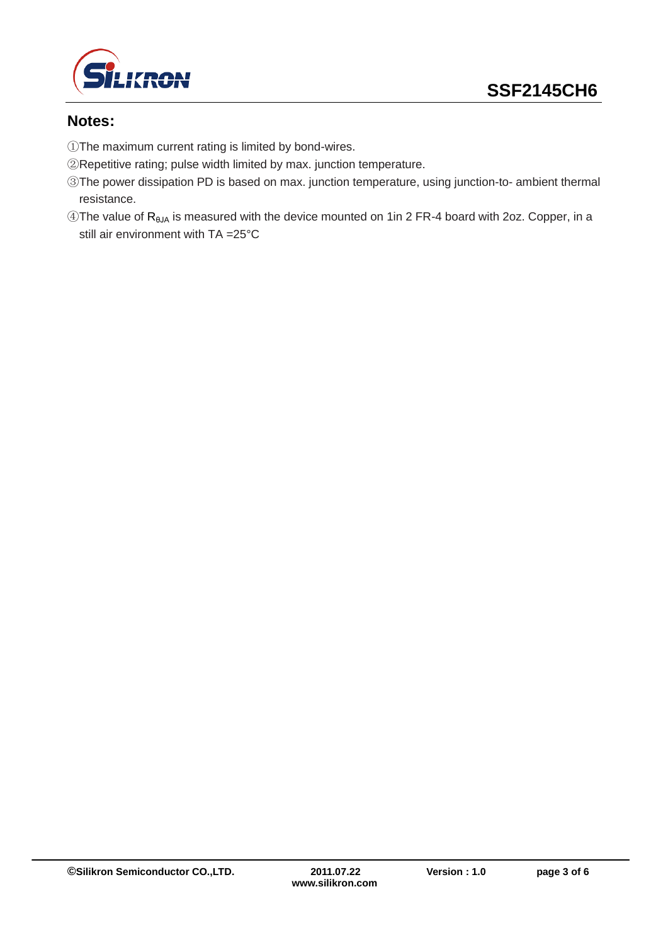

#### **Notes:**

- ①The maximum current rating is limited by bond-wires.
- ②Repetitive rating; pulse width limited by max. junction temperature.
- ③The power dissipation PD is based on max. junction temperature, using junction-to- ambient thermal resistance.
- ④The value of RθJA is measured with the device mounted on 1in 2 FR-4 board with 2oz. Copper, in a still air environment with TA =25°C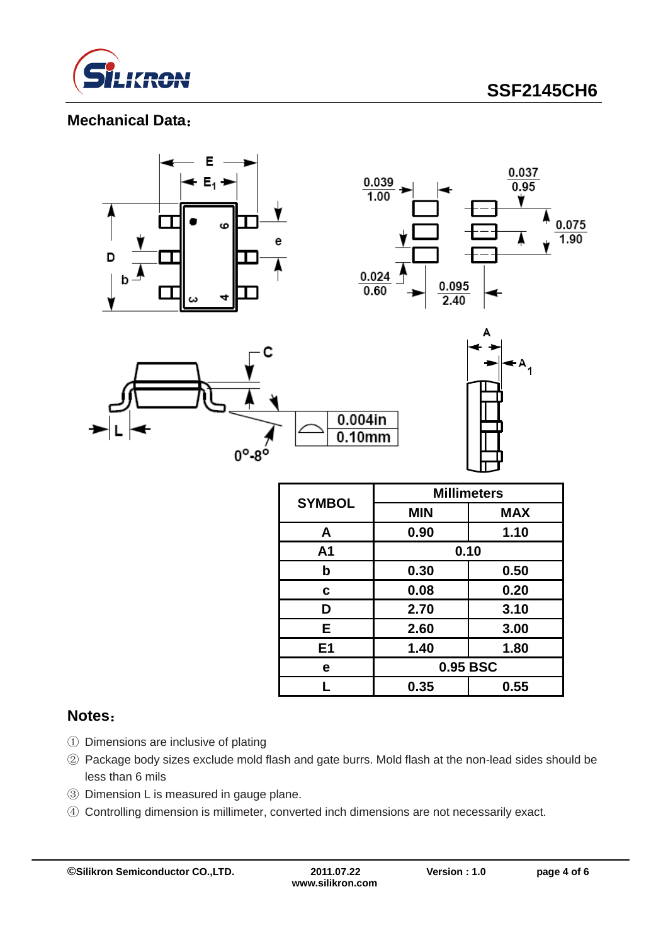

**SSF2145CH6**

#### **Mechanical Data**:



| <b>SYMBOL</b>  | <b>Millimeters</b> |            |  |  |
|----------------|--------------------|------------|--|--|
|                | <b>MIN</b>         | <b>MAX</b> |  |  |
| A              | 0.90               | 1.10       |  |  |
| A <sub>1</sub> | 0.10               |            |  |  |
| b              | 0.30               | 0.50       |  |  |
| C              | 0.08               | 0.20       |  |  |
| D              | 2.70               | 3.10       |  |  |
| Е              | 2.60               | 3.00       |  |  |
| E <sub>1</sub> | 1.40               | 1.80       |  |  |
| е              | 0.95 BSC           |            |  |  |
|                | 0.35               | 0.55       |  |  |

#### **Notes**:

- ① Dimensions are inclusive of plating
- ② Package body sizes exclude mold flash and gate burrs. Mold flash at the non-lead sides should be less than 6 mils
- ③ Dimension L is measured in gauge plane.
- ④ Controlling dimension is millimeter, converted inch dimensions are not necessarily exact.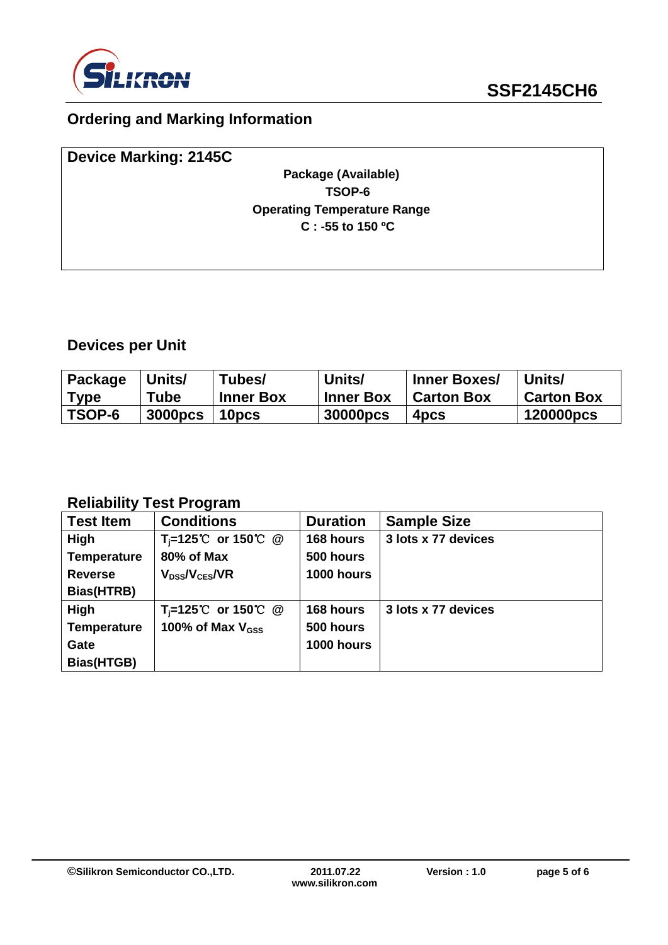

# **Ordering and Marking Information**

| <b>Device Marking: 2145C</b>       |  |
|------------------------------------|--|
| Package (Available)                |  |
| TSOP-6                             |  |
| <b>Operating Temperature Range</b> |  |
| C : -55 to 150 $^{\circ}$ C        |  |
|                                    |  |

# **Devices per Unit**

| Package | Units/         | Tubes/           | Units/      | <b>Inner Boxes/</b> | Units/            |
|---------|----------------|------------------|-------------|---------------------|-------------------|
| Type    | Tube           | <b>Inner Box</b> | l Inner Box | <b>Carton Box</b>   | <b>Carton Box</b> |
| TSOP-6  | <b>3000pcs</b> | 10pcs            | 30000pcs    | 4 <sub>pcs</sub>    | 120000pcs         |

#### **Reliability Test Program**

| <b>Test Item</b>   | <b>Conditions</b>               | <b>Duration</b> | <b>Sample Size</b>  |
|--------------------|---------------------------------|-----------------|---------------------|
| <b>High</b>        | T <sub>i</sub> =125℃ or 150℃ @  | 168 hours       | 3 lots x 77 devices |
| <b>Temperature</b> | 80% of Max                      | 500 hours       |                     |
| <b>Reverse</b>     | $V_{DS}$ / $V_{CES}$ /VR        | 1000 hours      |                     |
| Bias(HTRB)         |                                 |                 |                     |
| <b>High</b>        | $T_i = 125^{\circ}$ or 150 °C @ | 168 hours       | 3 lots x 77 devices |
| <b>Temperature</b> | 100% of Max $V_{GSS}$           | 500 hours       |                     |
| Gate               |                                 | 1000 hours      |                     |
| Bias(HTGB)         |                                 |                 |                     |